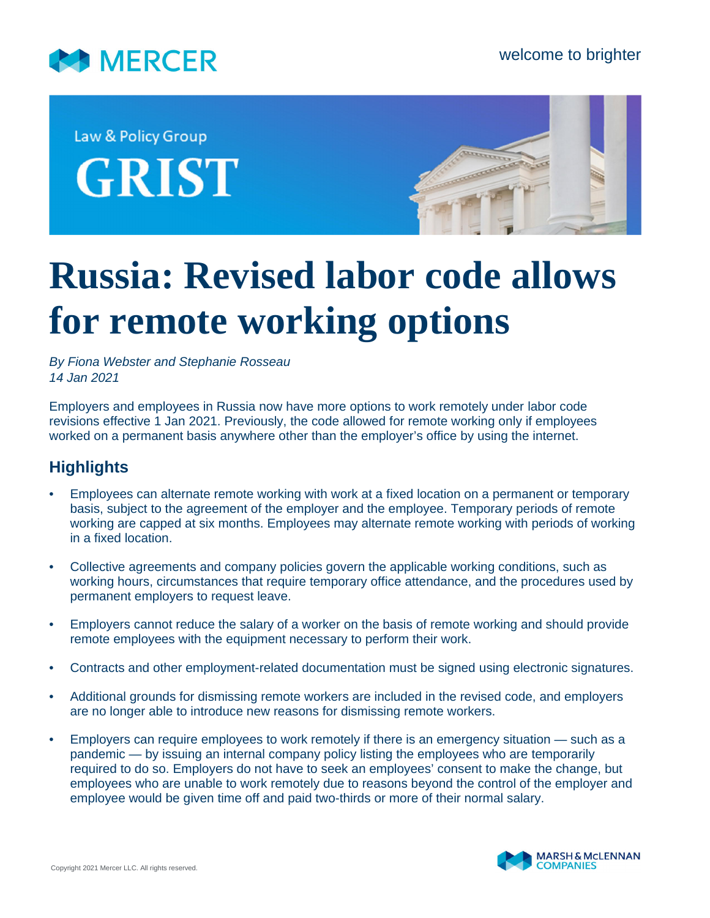

Law & Policy Group **GRIST** 



## **Russia: Revised labor code allows for remote working options**

*By Fiona Webster and Stephanie Rosseau 14 Jan 2021*

Employers and employees in Russia now have more options to work remotely under labor code revisions effective 1 Jan 2021. Previously, the code allowed for remote working only if employees worked on a permanent basis anywhere other than the employer's office by using the internet.

## **Highlights**

- Employees can alternate remote working with work at a fixed location on a permanent or temporary basis, subject to the agreement of the employer and the employee. Temporary periods of remote working are capped at six months. Employees may alternate remote working with periods of working in a fixed location.
- Collective agreements and company policies govern the applicable working conditions, such as working hours, circumstances that require temporary office attendance, and the procedures used by permanent employers to request leave.
- Employers cannot reduce the salary of a worker on the basis of remote working and should provide remote employees with the equipment necessary to perform their work.
- Contracts and other employment-related documentation must be signed using electronic signatures.
- Additional grounds for dismissing remote workers are included in the revised code, and employers are no longer able to introduce new reasons for dismissing remote workers.
- Employers can require employees to work remotely if there is an emergency situation such as a pandemic — by issuing an internal company policy listing the employees who are temporarily required to do so. Employers do not have to seek an employees' consent to make the change, but employees who are unable to work remotely due to reasons beyond the control of the employer and employee would be given time off and paid two-thirds or more of their normal salary.